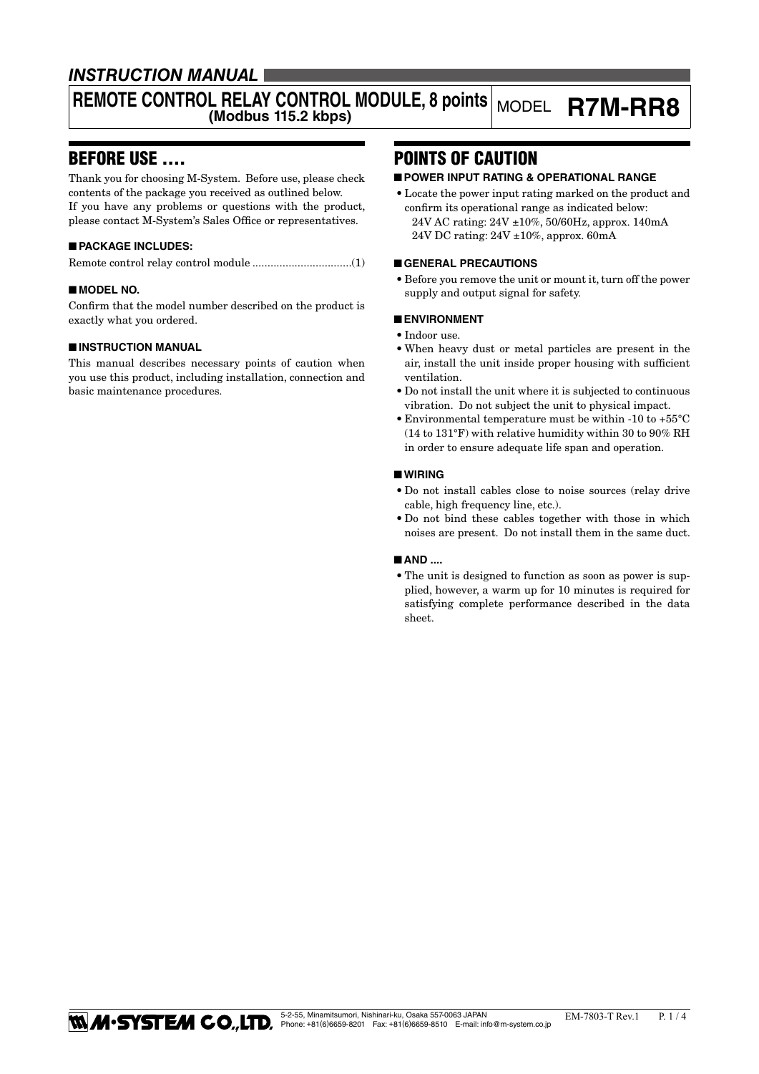### *INSTRUCTION MANUAL*

# REMOTE CONTROL RELAY CONTROL MODULE, 8 points MODEL **R7M-RR8**

### BEFORE USE ....

Thank you for choosing M-System. Before use, please check contents of the package you received as outlined below. If you have any problems or questions with the product, please contact M-System's Sales Office or representatives.

#### ■ **PACKAGE INCLUDES:**

Remote control relay control module .................................(1)

#### ■ **MODEL NO.**

Confirm that the model number described on the product is exactly what you ordered.

#### ■ **INSTRUCTION MANUAL**

This manual describes necessary points of caution when you use this product, including installation, connection and basic maintenance procedures.

### POINTS OF CAUTION

#### ■ **POWER INPUT RATING & OPERATIONAL RANGE**

• Locate the power input rating marked on the product and confirm its operational range as indicated below: 24V AC rating: 24V ±10%, 50/60Hz, approx. 140mA 24V DC rating: 24V ±10%, approx. 60mA

#### ■ **GENERAL PRECAUTIONS**

• Before you remove the unit or mount it, turn off the power supply and output signal for safety.

#### ■ **ENVIRONMENT**

- • Indoor use.
- • When heavy dust or metal particles are present in the air, install the unit inside proper housing with sufficient ventilation.
- Do not install the unit where it is subjected to continuous vibration. Do not subject the unit to physical impact.
- Environmental temperature must be within -10 to  $+55^{\circ}$ C (14 to 131°F) with relative humidity within 30 to 90% RH in order to ensure adequate life span and operation.

#### ■ **WIRING**

- • Do not install cables close to noise sources (relay drive cable, high frequency line, etc.).
- • Do not bind these cables together with those in which noises are present. Do not install them in the same duct.

#### ■ **AND** ....

• The unit is designed to function as soon as power is supplied, however, a warm up for 10 minutes is required for satisfying complete performance described in the data sheet.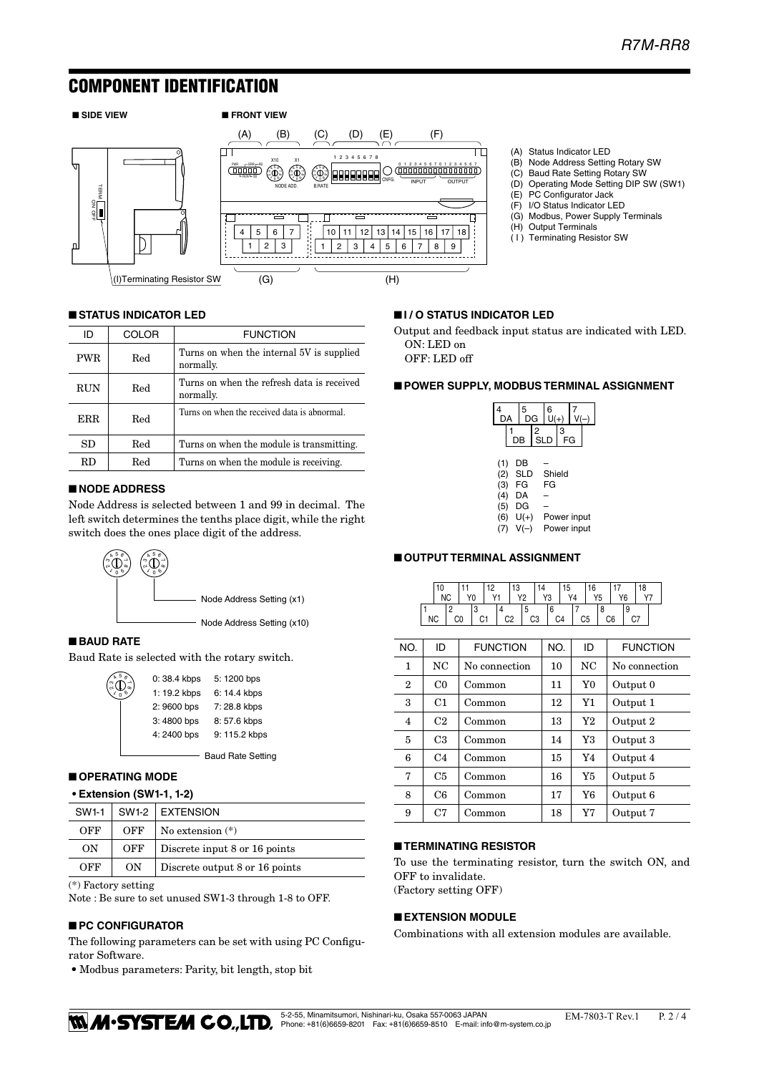### COMPONENT IDENTIFICATION



#### ■ **STATUS INDICATOR LED**

| ID                | <b>COLOR</b> | <b>FUNCTION</b>                                         |  |
|-------------------|--------------|---------------------------------------------------------|--|
| <b>PWR</b>        | Red          | Turns on when the internal 5V is supplied<br>normally.  |  |
| <b>RUN</b>        | Red          | Turns on when the refresh data is received<br>normally. |  |
| <b>ERR</b><br>Red |              | Turns on when the received data is abnormal.            |  |
| SD                | Red          | Turns on when the module is transmitting.               |  |
| RD.               | Red          | Turns on when the module is receiving.                  |  |

#### ■ **NODE ADDRESS**

Node Address is selected between 1 and 99 in decimal. The left switch determines the tenths place digit, while the right switch does the ones place digit of the address.



#### ■ **BAUD RATE**

Baud Rate is selected with the rotary switch.

| ົ້ນ<br>ລືປີ | 0:38.4 kbps  | 5: 1200 bps   |
|-------------|--------------|---------------|
|             | 1: 19.2 kbps | 6: 14.4 kbps  |
|             | 2:9600 bps   | 7:28.8 kbps   |
|             | 3:4800 bps   | 8:57.6 kbps   |
|             | 4:2400 bps   | 9: 115.2 kbps |
|             |              |               |

- Baud Rate Setting

#### ■ **OPERATING MODE**

**• Extension (SW1-1, 1-2)**

| SW1-1                                       |     | SW1-2   EXTENSION             |  |
|---------------------------------------------|-----|-------------------------------|--|
| OFF                                         | OFF | No extension $(*)$            |  |
| ON                                          | OFF | Discrete input 8 or 16 points |  |
| OFF<br>ON<br>Discrete output 8 or 16 points |     |                               |  |

(\*) Factory setting

Note : Be sure to set unused SW1-3 through 1-8 to OFF.

#### ■ **PC CONFIGURATOR**

The following parameters can be set with using PC Configurator Software.

• Modbus parameters: Parity, bit length, stop bit

■ **I / O STATUS INDICATOR LED**

Output and feedback input status are indicated with LED. ON: LED on

(A) Status Indicator LED

(E) PC Configurator Jack (F) I/O Status Indicator LED (G) Modbus, Power Supply Terminals

(H) Output Terminals ( I ) Terminating Resistor SW

(B) Node Address Setting Rotary SW<br>(C) Baud Rate Setting Rotary SW Baud Rate Setting Rotary SW (D) Operating Mode Setting DIP SW (SW1)

OFF: LED off

#### ■ **POWER SUPPLY, MODBUS TERMINAL ASSIGNMENT**

| DA         | 5<br>DG          |                 | 6           |         |             |  |
|------------|------------------|-----------------|-------------|---------|-------------|--|
|            | DB               | 2<br><b>SLD</b> |             | 3<br>FG |             |  |
| (1)<br>(2) | DB<br><b>SLD</b> |                 | Shield      |         |             |  |
| (3)        | FG               |                 | FG          |         |             |  |
| (4)        | DA               |                 |             |         |             |  |
| (5)<br>(6) | DG<br>$U(+)$     |                 | Power input |         |             |  |
|            | $V(-)$           |                 |             |         | Power input |  |

#### ■ **OUTPUT TERMINAL ASSIGNMENT**

|  | 10 |    |    |  |    |    |    |     | 15             | 16 |  |    | 18 |  |
|--|----|----|----|--|----|----|----|-----|----------------|----|--|----|----|--|
|  |    |    | Y0 |  |    |    | Y3 |     | V <sub>1</sub> |    |  | Y6 |    |  |
|  |    |    |    |  |    |    |    |     |                |    |  |    |    |  |
|  | ΝC | C0 | C1 |  | C2 | C3 |    | C.4 |                | n  |  |    |    |  |

| NO.          | ID             | <b>FUNCTION</b> | NO. | ID             | <b>FUNCTION</b> |
|--------------|----------------|-----------------|-----|----------------|-----------------|
| 1            | NC.            | No connection   | 10  | N <sub>C</sub> | No connection   |
| $\mathbf{2}$ | C <sub>0</sub> | Common          | 11  | Y <sub>0</sub> | Output 0        |
| 3            | C1             | Common          | 12  | Y1             | Output 1        |
| 4            | C <sub>2</sub> | Common          | 13  | Y2             | Output 2        |
| 5            | C <sub>3</sub> | Common          | 14  | Y3             | Output 3        |
| 6            | C <sub>4</sub> | Common          | 15  | Y4             | Output 4        |
| 7            | C <sub>5</sub> | Common          | 16  | Y <sub>5</sub> | Output 5        |
| 8            | C6             | Common          | 17  | Y6             | Output 6        |
| 9            | C <sub>7</sub> | Common          | 18  | Y7             | Output 7        |

#### ■ **TERMINATING RESISTOR**

To use the terminating resistor, turn the switch ON, and OFF to invalidate.

(Factory setting OFF)

#### ■ **EXTENSION MODULE**

Combinations with all extension modules are available.

**THEM CO., LTD.** <sup>5-2-55, Minamitsumori, Nishinari-ku, Osaka 557-0063 JAPAN EM-7803-T Rev.1 P. 2 / 4</sup>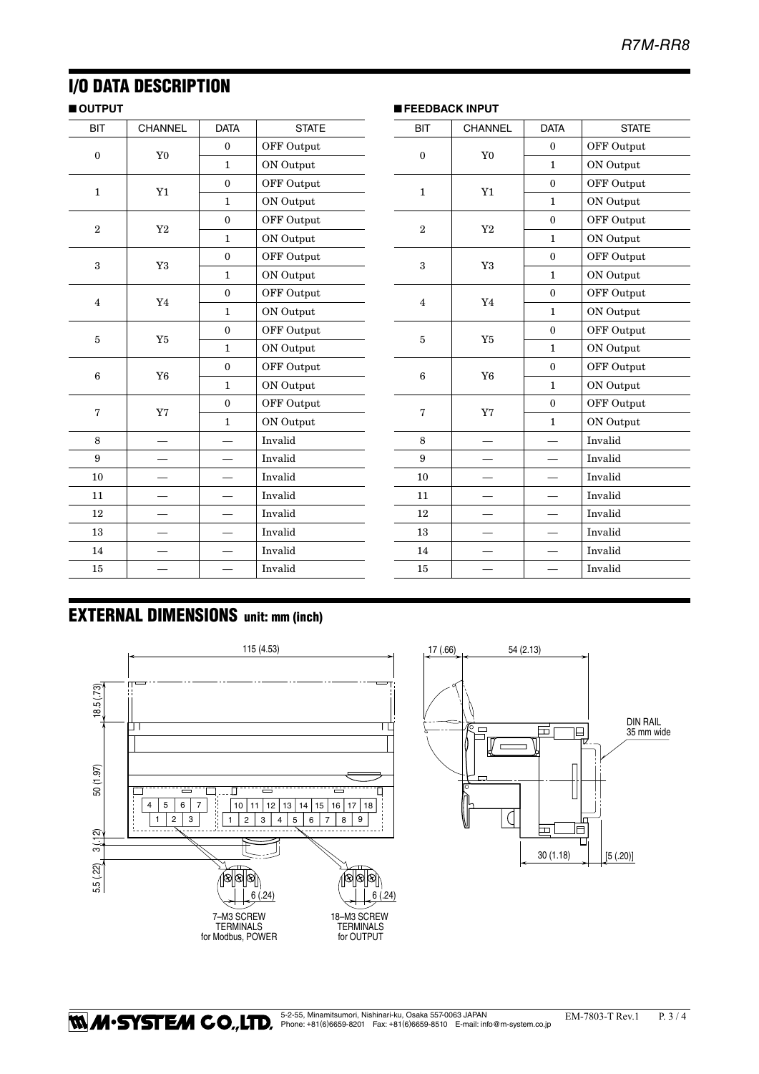## I/O DATA DESCRIPTION

#### ■ **OUTPUT**

| <b>BIT</b>              | CHANNEL        | <b>DATA</b>  | <b>STATE</b>      |
|-------------------------|----------------|--------------|-------------------|
| $\theta$                | Y <sub>0</sub> | $\mathbf{0}$ | <b>OFF Output</b> |
|                         |                | 1            | ON Output         |
| $\mathbf{1}$            | Y1             | $\mathbf{0}$ | <b>OFF Output</b> |
|                         |                | 1            | ON Output         |
| $\overline{2}$          | Y <sub>2</sub> | $\mathbf{0}$ | OFF Output        |
|                         |                | 1            | ON Output         |
| 3                       | Y3             | $\mathbf{0}$ | OFF Output        |
|                         |                | 1            | ON Output         |
| $\overline{\mathbf{4}}$ |                | $\bf{0}$     | OFF Output        |
|                         | Y4             | 1            | ON Output         |
| 5                       | Y5             | $\mathbf{0}$ | OFF Output        |
|                         |                | 1            | ON Output         |
| 6                       | Y <sub>6</sub> | $\mathbf{0}$ | OFF Output        |
|                         |                | 1            | ON Output         |
| 7                       | Y7             | $\mathbf{0}$ | <b>OFF Output</b> |
|                         |                | $\mathbf{1}$ | ON Output         |
| 8                       |                |              | Invalid           |
| 9                       |                |              | Invalid           |
| 10                      |                |              | Invalid           |
| 11                      |                |              | Invalid           |
| 12                      |                |              | Invalid           |
| 13                      |                |              | Invalid           |
| 14                      |                |              | Invalid           |
| 15                      |                |              | Invalid           |

| <b>BIT</b>     | <b>CHANNEL</b> | <b>DATA</b>  | <b>STATE</b>      |
|----------------|----------------|--------------|-------------------|
| $\mathbf{0}$   | Y <sub>0</sub> | $\mathbf{0}$ | <b>OFF Output</b> |
|                |                | $\mathbf{1}$ | ON Output         |
| $\mathbf{1}$   | Y1             | $\mathbf{0}$ | <b>OFF Output</b> |
|                |                | 1            | ON Output         |
| $\overline{2}$ | Y2             | $\mathbf{0}$ | OFF Output        |
|                |                | $\mathbf{1}$ | ON Output         |
| 3              | Y3             | $\mathbf{0}$ | OFF Output        |
|                |                | $\mathbf{1}$ | ON Output         |
| $\overline{4}$ | Y4             | $\mathbf{0}$ | <b>OFF Output</b> |
|                |                | 1            | ON Output         |
| 5              | Y <sub>5</sub> | $\mathbf{0}$ | <b>OFF Output</b> |
|                |                | $\mathbf{1}$ | ON Output         |
| 6              | Y <sub>6</sub> | $\mathbf{0}$ | <b>OFF Output</b> |
|                |                | $\mathbf{1}$ | ON Output         |
| 7              | Y7             | $\theta$     | OFF Output        |
|                |                | 1            | ON Output         |
| 8              |                |              | Invalid           |
| 9              |                |              | Invalid           |
| 10             |                |              | Invalid           |
| 11             |                |              | Invalid           |
| 12             |                |              | Invalid           |
| 13             |                |              | Invalid           |
| 14             |                |              | Invalid           |
| 15             |                |              | Invalid           |

■ **FEEDBACK INPUT**

# EXTERNAL DIMENSIONS unit: mm (inch)